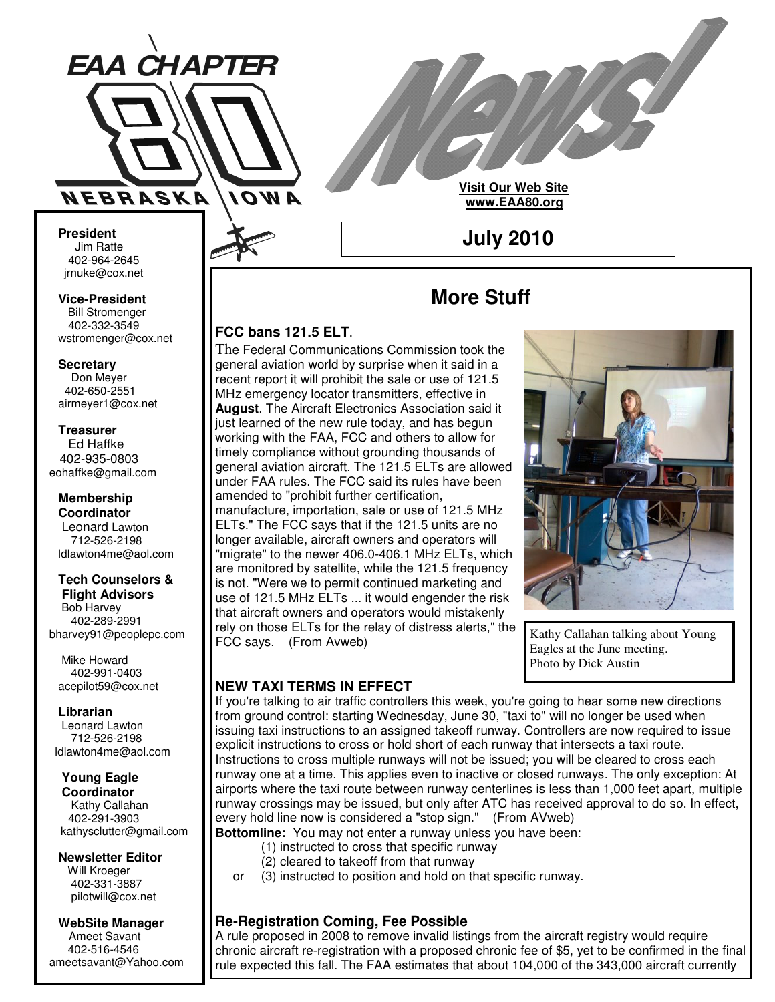

**Visit Our Web Site www.EAA80.org**

**July 2010**

**President** Jim Ratte 402-964-2645 jrnuke@cox.net Jim Ratte<br>402-964-2645<br>rnuke@cox.net<br>**ice-President**<br>Bill Stromenger

**Vice-President Bill Stromenger** 402-332-3549 jrnuke@cox.net 402-332-3549wstromenger@cox.net

**Secretary** Don Meyer Don Meyer 402-650-2551

## airmeyer1@cox.net **Treasurer**

Ed Haffke Ed Haffke 402-935-0803 eohaffke@gmail.com

### **Membership Coordinator**

Leonard Lawton 402-895-0125 712-526-2198 ldlawton4me@aol.com

### **Tech Counselors & Tech Counselors &**

**Flight Advisors Flight Advisors** Bob Harvey Bob Harvey 402-289-2991 402-289-2991 bharvey91@peoplepc.com bharvey91@peoplepc.com

Mike Howard Mike Howard 402-991-0403 402-991-0403 acepilot59@cox.net acepilot59@cox.net

**Librarian Librarian** Leonard Lawton Leonard Lawton 712-526-2198 712-526-2198 ldlawton4me@aol.com ldlawton4me@aol.com

**Young Eagle Young Eagle Coordinator Coordinator** Kathy Callahan 402-291-3903 kathysclutter@gmail.com

#### **Newsletter Editor Newsletter Editor** Will Kroeger Will Kroeger 402-331-3887 402-331-3887 pilotwill@cox.net pilotwill@cox.net

**WebSite Manager WebSite Manager** Ameet Savant Ameet Savant 402-516-4546 402-516-4546 ameetsavant@Yahoo.com ameetsavant@Yahoo.com

## **More Stuff**

### **FCC bans 121.5 ELT**.

The Federal Communications Commission took the general aviation world by surprise when it said in a recent report it will prohibit the sale or use of 121.5 MHz emergency locator transmitters, effective in **August**. The Aircraft Electronics Association said it just learned of the new rule today, and has begun working with the FAA, FCC and others to allow for timely compliance without grounding thousands of general aviation aircraft. The 121.5 ELTs are allowed under FAA rules. The FCC said its rules have been amended to "prohibit further certification, manufacture, importation, sale or use of 121.5 MHz ELTs." The FCC says that if the 121.5 units are no longer available, aircraft owners and operators will "migrate" to the newer 406.0-406.1 MHz ELTs, which are monitored by satellite, while the 121.5 frequency is not. "Were we to permit continued marketing and use of 121.5 MHz ELTs ... it would engender the risk that aircraft owners and operators would mistakenly rely on those ELTs for the relay of distress alerts," the FCC says. (From Avweb)



Kathy Callahan talking about Young Eagles at the June meeting. Photo by Dick Austin

## **NEW TAXI TERMS IN EFFECT**

If you're talking to air traffic controllers this week, you're going to hear some new directions from ground control: starting Wednesday, June 30, "taxi to" will no longer be used when issuing taxi instructions to an assigned takeoff runway. Controllers are now required to issue explicit instructions to cross or hold short of each runway that intersects a taxi route. Instructions to cross multiple runways will not be issued; you will be cleared to cross each runway one at a time. This applies even to inactive or closed runways. The only exception: At airports where the taxi route between runway centerlines is less than 1,000 feet apart, multiple runway crossings may be issued, but only after ATC has received approval to do so. In effect, every hold line now is considered a "stop sign." (From AVweb) **Bottomline:** You may not enter a runway unless you have been:

- (1) instructed to cross that specific runway
- (2) cleared to takeoff from that runway
- or (3) instructed to position and hold on that specific runway.

### **Re-Registration Coming, Fee Possible**

A rule proposed in 2008 to remove invalid listings from the aircraft registry would require chronic aircraft re-registration with a proposed chronic fee of \$5, yet to be confirmed in the final rule expected this fall. The FAA estimates that about 104,000 of the 343,000 aircraft currently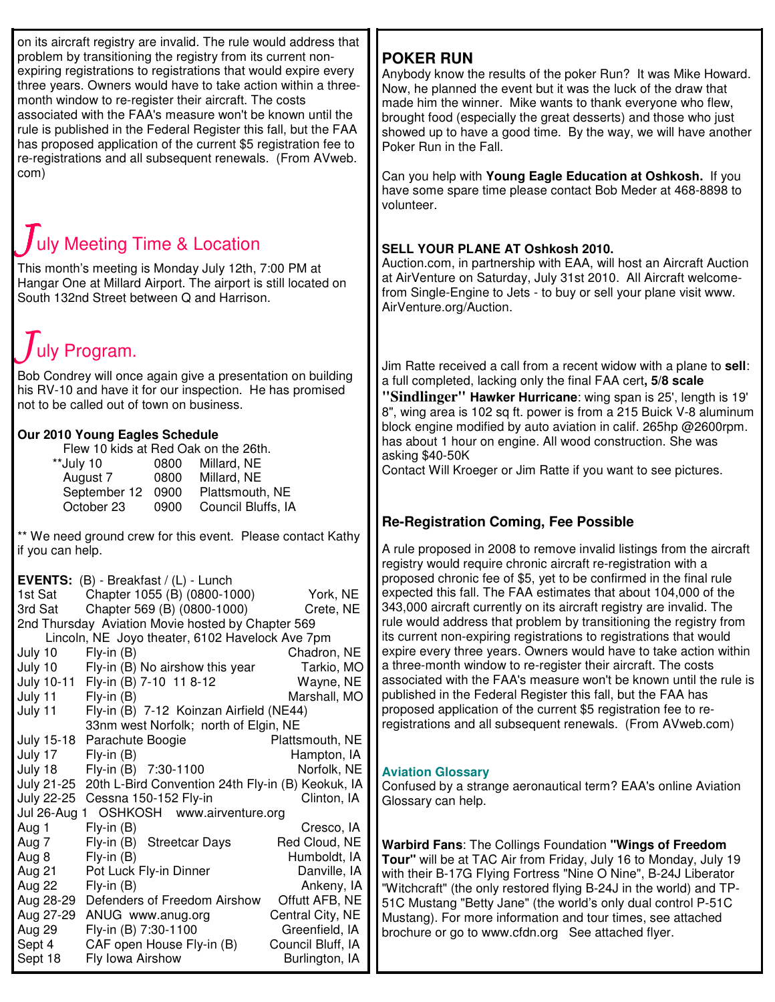on its aircraft registry are invalid. The rule would address that problem by transitioning the registry from its current nonexpiring registrations to registrations that would expire every three years. Owners would have to take action within a threemonth window to re-register their aircraft. The costs associated with the FAA's measure won't be known until the rule is published in the Federal Register this fall, but the FAA has proposed application of the current \$5 registration fee to re-registrations and all subsequent renewals. (From AVweb. com)

# uly Meeting Time & Location

This month's meeting is Monday July 12th, 7:00 PM at Hangar One at Millard Airport. The airport is still located on South 132nd Street between Q and Harrison.

# uly Program.

Bob Condrey will once again give a presentation on building his RV-10 and have it for our inspection. He has promised not to be called out of town on business.

### **Our 2010 Young Eagles Schedule**

| Flew 10 kids at Red Oak on the 26th. |                    |  |  |
|--------------------------------------|--------------------|--|--|
| 0800                                 | Millard, NE        |  |  |
| 0800                                 | Millard, NE        |  |  |
| 0900                                 | Plattsmouth, NE    |  |  |
| 0900                                 | Council Bluffs, IA |  |  |
|                                      |                    |  |  |

\*\* We need ground crew for this event. Please contact Kathy if you can help.

**EVENTS:** (B) - Breakfast / (L) - Lunch

| 1st Sat                                           | Chapter 1055 (B) (0800-1000)                      | York, NE          |  |
|---------------------------------------------------|---------------------------------------------------|-------------------|--|
| 3rd Sat                                           | Chapter 569 (B) (0800-1000)                       | Crete, NE         |  |
| 2nd Thursday Aviation Movie hosted by Chapter 569 |                                                   |                   |  |
| Lincoln, NE Joyo theater, 6102 Havelock Ave 7pm   |                                                   |                   |  |
| July 10                                           | $Fly-in(B)$                                       | Chadron, NE       |  |
| July 10                                           | Fly-in (B) No airshow this year                   | Tarkio, MO        |  |
|                                                   | July 10-11 Fly-in (B) 7-10 11 8-12                | Wayne, NE         |  |
| July 11                                           | $Fly-in(B)$                                       | Marshall, MO      |  |
| July 11                                           | Fly-in (B) 7-12 Koinzan Airfield (NE44)           |                   |  |
|                                                   | 33nm west Norfolk; north of Elgin, NE             |                   |  |
| <b>July 15-18</b>                                 | Parachute Boogie                                  | Plattsmouth, NE   |  |
| July 17                                           | $Fly-in(B)$                                       | Hampton, IA       |  |
| July 18                                           | Fly-in (B) 7:30-1100                              | Norfolk, NE       |  |
| July 21-25                                        | 20th L-Bird Convention 24th Fly-in (B) Keokuk, IA |                   |  |
| <b>July 22-25</b>                                 | Cessna 150-152 Fly-in                             | Clinton, IA       |  |
| OSHKOSH www.airventure.org<br>Jul 26-Aug<br>1     |                                                   |                   |  |
| Aug 1                                             | $Fly-in(B)$                                       | Cresco, IA        |  |
| Aug 7                                             | Fly-in (B) Streetcar Days                         | Red Cloud, NE     |  |
| Aug 8                                             | $Fly-in(B)$                                       | Humboldt, IA      |  |
| Aug 21                                            | Pot Luck Fly-in Dinner                            | Danville, IA      |  |
| Aug 22                                            | $Fly-in(B)$                                       | Ankeny, IA        |  |
| Aug 28-29                                         | Defenders of Freedom Airshow                      | Offutt AFB, NE    |  |
| Aug 27-29                                         | ANUG www.anug.org                                 | Central City, NE  |  |
| Aug 29                                            | Fly-in (B) 7:30-1100                              | Greenfield, IA    |  |
| Sept 4                                            | CAF open House Fly-in (B)                         | Council Bluff, IA |  |
| Sept 18                                           | Fly Iowa Airshow                                  | Burlington, IA    |  |

## **POKER RUN**

Anybody know the results of the poker Run? It was Mike Howard. Now, he planned the event but it was the luck of the draw that made him the winner. Mike wants to thank everyone who flew, brought food (especially the great desserts) and those who just showed up to have a good time. By the way, we will have another Poker Run in the Fall.

Can you help with **Young Eagle Education at Oshkosh.** If you have some spare time please contact Bob Meder at 468-8898 to volunteer.

### **SELL YOUR PLANE AT Oshkosh 2010.**

Auction.com, in partnership with EAA, will host an Aircraft Auction at AirVenture on Saturday, July 31st 2010. All Aircraft welcomefrom Single-Engine to Jets - to buy or sell your plane visit www. AirVenture.org/Auction.

Jim Ratte received a call from a recent widow with a plane to **sell**: a full completed, lacking only the final FAA cert**, 5/8 scale**

**"Sindlinger" Hawker Hurricane**: wing span is 25', length is 19' 8", wing area is 102 sq ft. power is from a 215 Buick V-8 aluminum block engine modified by auto aviation in calif. 265hp @2600rpm. has about 1 hour on engine. All wood construction. She was asking \$40-50K

Contact Will Kroeger or Jim Ratte if you want to see pictures.

### **Re-Registration Coming, Fee Possible**

A rule proposed in 2008 to remove invalid listings from the aircraft registry would require chronic aircraft re-registration with a proposed chronic fee of \$5, yet to be confirmed in the final rule expected this fall. The FAA estimates that about 104,000 of the 343,000 aircraft currently on its aircraft registry are invalid. The rule would address that problem by transitioning the registry from its current non-expiring registrations to registrations that would expire every three years. Owners would have to take action within a three-month window to re-register their aircraft. The costs associated with the FAA's measure won't be known until the rule is published in the Federal Register this fall, but the FAA has proposed application of the current \$5 registration fee to reregistrations and all subsequent renewals. (From AVweb.com)

### **Aviation Glossary**

Confused by a strange aeronautical term? EAA's online Aviation Glossary can help.

**Warbird Fans**: The Collings Foundation **"Wings of Freedom Tour"** will be at TAC Air from Friday, July 16 to Monday, July 19 with their B-17G Flying Fortress "Nine O Nine", B-24J Liberator "Witchcraft" (the only restored flying B-24J in the world) and TP-51C Mustang "Betty Jane" (the world's only dual control P-51C Mustang). For more information and tour times, see attached brochure or go to www.cfdn.org See attached flyer.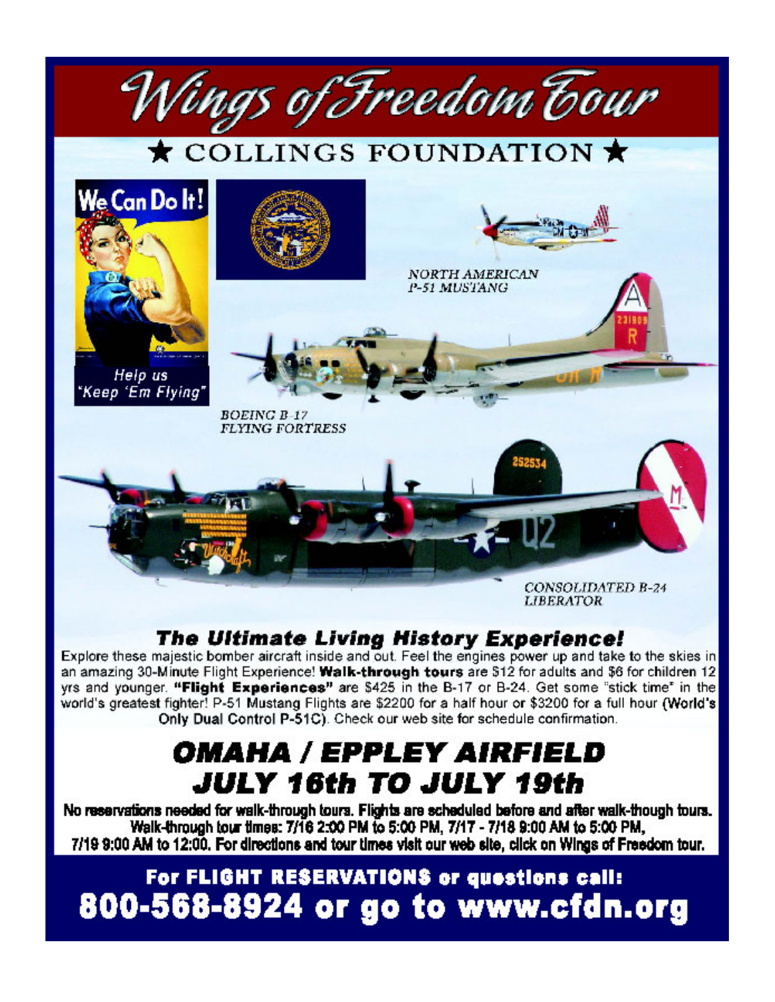

## **The Ultimate Living History Experience!**

Explore these majestic bomber aircraft inside and out. Feel the engines power up and take to the skies in an amazing 30-Minute Flight Experience! Walk-through tours are \$12 for adults and \$6 for children 12 yrs and younger. "Flight Experiences" are \$425 in the B-17 or B-24. Get some "stick time" in the world's greatest fighter! P-51 Mustang Flights are \$2200 for a half hour or \$3200 for a full hour (World's Only Dual Control P-51C). Check our web site for schedule confirmation.

# OMAHA / EPPLEY AIRFIELD JULY 16th TO JULY 19th

No reservations needed for walk-through tours. Flights are scheduled before and after walk-though tours. Walk-through tour times: 7/16 2:00 PM to 5:00 PM, 7/17 - 7/18 9:00 AM to 5:00 PM, 7/19 9:00 AM to 12:00. For directions and tour times visit our web site, click on Wings of Freedom tour.

# For FLIGHT RESERVATIONS or questions call: 800-568-8924 or go to www.cfdn.org